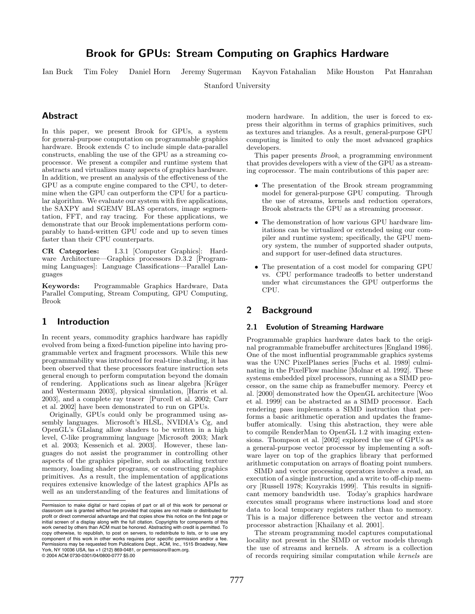# Brook for GPUs: Stream Computing on Graphics Hardware

Ian Buck Tim Foley Daniel Horn Jeremy Sugerman Kayvon Fatahalian Mike Houston Pat Hanrahan

Stanford University

# Abstract

In this paper, we present Brook for GPUs, a system for general-purpose computation on programmable graphics hardware. Brook extends C to include simple data-parallel constructs, enabling the use of the GPU as a streaming coprocessor. We present a compiler and runtime system that abstracts and virtualizes many aspects of graphics hardware. In addition, we present an analysis of the effectiveness of the GPU as a compute engine compared to the CPU, to determine when the GPU can outperform the CPU for a particular algorithm. We evaluate our system with five applications, the SAXPY and SGEMV BLAS operators, image segmentation, FFT, and ray tracing. For these applications, we demonstrate that our Brook implementations perform comparably to hand-written GPU code and up to seven times faster than their CPU counterparts.

CR Categories: I.3.1 [Computer Graphics]: Hardware Architecture—Graphics processors D.3.2 [Programming Languages]: Language Classifications—Parallel Languages

Keywords: Programmable Graphics Hardware, Data Parallel Computing, Stream Computing, GPU Computing, Brook

# 1 Introduction

In recent years, commodity graphics hardware has rapidly evolved from being a fixed-function pipeline into having programmable vertex and fragment processors. While this new programmability was introduced for real-time shading, it has been observed that these processors feature instruction sets general enough to perform computation beyond the domain of rendering. Applications such as linear algebra [Krüger and Westermann 2003], physical simulation, [Harris et al. 2003], and a complete ray tracer [Purcell et al. 2002; Carr et al. 2002] have been demonstrated to run on GPUs.

Originally, GPUs could only be programmed using assembly languages. Microsoft's HLSL, NVIDIA's Cg, and OpenGL's GLslang allow shaders to be written in a high level, C-like programming language [Microsoft 2003; Mark et al. 2003; Kessenich et al. 2003]. However, these languages do not assist the programmer in controlling other aspects of the graphics pipeline, such as allocating texture memory, loading shader programs, or constructing graphics primitives. As a result, the implementation of applications requires extensive knowledge of the latest graphics APIs as well as an understanding of the features and limitations of modern hardware. In addition, the user is forced to express their algorithm in terms of graphics primitives, such as textures and triangles. As a result, general-purpose GPU computing is limited to only the most advanced graphics developers.

This paper presents Brook, a programming environment that provides developers with a view of the GPU as a streaming coprocessor. The main contributions of this paper are:

- The presentation of the Brook stream programming model for general-purpose GPU computing. Through the use of streams, kernels and reduction operators, Brook abstracts the GPU as a streaming processor.
- The demonstration of how various GPU hardware limitations can be virtualized or extended using our compiler and runtime system; specifically, the GPU memory system, the number of supported shader outputs, and support for user-defined data structures.
- The presentation of a cost model for comparing GPU vs. CPU performance tradeoffs to better understand under what circumstances the GPU outperforms the CPU.

# 2 Background

#### 2.1 Evolution of Streaming Hardware

Programmable graphics hardware dates back to the original programmable framebuffer architectures [England 1986]. One of the most influential programmable graphics systems was the UNC PixelPlanes series [Fuchs et al. 1989] culminating in the PixelFlow machine [Molnar et al. 1992]. These systems embedded pixel processors, running as a SIMD processor, on the same chip as framebuffer memory. Peercy et al. [2000] demonstrated how the OpenGL architecture [Woo et al. 1999] can be abstracted as a SIMD processor. Each rendering pass implements a SIMD instruction that performs a basic arithmetic operation and updates the framebuffer atomically. Using this abstraction, they were able to compile RenderMan to OpenGL 1.2 with imaging extensions. Thompson et al. [2002] explored the use of GPUs as a general-purpose vector processor by implementing a software layer on top of the graphics library that performed arithmetic computation on arrays of floating point numbers.

SIMD and vector processing operators involve a read, an execution of a single instruction, and a write to off-chip memory [Russell 1978; Kozyrakis 1999]. This results in significant memory bandwidth use. Today's graphics hardware executes small programs where instructions load and store data to local temporary registers rather than to memory. This is a major difference between the vector and stream processor abstraction [Khailany et al. 2001].

The stream programming model captures computational locality not present in the SIMD or vector models through the use of streams and kernels. A stream is a collection of records requiring similar computation while kernels are

Permission to make digital or hard copies of part or all of this work for personal or classroom use is granted without fee provided that copies are not made or distributed for profit or direct commercial advantage and that copies show this notice on the first page or initial screen of a display along with the full citation. Copyrights for components of this work owned by others than ACM must be honored. Abstracting with credit is permitted. To copy otherwise, to republish, to post on servers, to redistribute to lists, or to use any component of this work in other works requires prior specific permission and/or a fee. Permissions may be requested from Publications Dept., ACM, Inc., 1515 Broadway, New York, NY 10036 USA, fax +1 (212) 869-0481, or permissions@acm.org. © 2004 ACM 0730-0301/04/0800-0777 \$5.00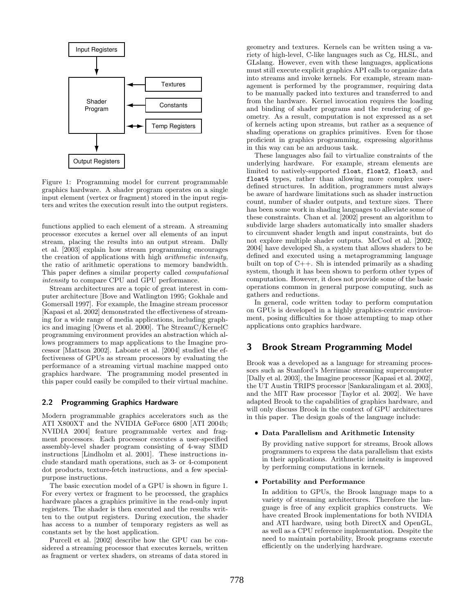

Figure 1: Programming model for current programmable graphics hardware. A shader program operates on a single input element (vertex or fragment) stored in the input registers and writes the execution result into the output registers.

functions applied to each element of a stream. A streaming processor executes a kernel over all elements of an input stream, placing the results into an output stream. Dally et al. [2003] explain how stream programming encourages the creation of applications with high arithmetic intensity, the ratio of arithmetic operations to memory bandwidth. This paper defines a similar property called computational intensity to compare CPU and GPU performance.

Stream architectures are a topic of great interest in computer architecture [Bove and Watlington 1995; Gokhale and Gomersall 1997]. For example, the Imagine stream processor [Kapasi et al. 2002] demonstrated the effectiveness of streaming for a wide range of media applications, including graphics and imaging [Owens et al. 2000]. The StreamC/KernelC programming environment provides an abstraction which allows programmers to map applications to the Imagine processor [Mattson 2002]. Labonte et al. [2004] studied the effectiveness of GPUs as stream processors by evaluating the performance of a streaming virtual machine mapped onto graphics hardware. The programming model presented in this paper could easily be compiled to their virtual machine.

#### 2.2 Programming Graphics Hardware

Modern programmable graphics accelerators such as the ATI X800XT and the NVIDIA GeForce 6800 [ATI 2004b; NVIDIA 2004] feature programmable vertex and fragment processors. Each processor executes a user-specified assembly-level shader program consisting of 4-way SIMD instructions [Lindholm et al. 2001]. These instructions include standard math operations, such as 3- or 4-component dot products, texture-fetch instructions, and a few specialpurpose instructions.

The basic execution model of a GPU is shown in figure 1. For every vertex or fragment to be processed, the graphics hardware places a graphics primitive in the read-only input registers. The shader is then executed and the results written to the output registers. During execution, the shader has access to a number of temporary registers as well as constants set by the host application.

Purcell et al. [2002] describe how the GPU can be considered a streaming processor that executes kernels, written as fragment or vertex shaders, on streams of data stored in geometry and textures. Kernels can be written using a variety of high-level, C-like languages such as Cg, HLSL, and GLslang. However, even with these languages, applications must still execute explicit graphics API calls to organize data into streams and invoke kernels. For example, stream management is performed by the programmer, requiring data to be manually packed into textures and transferred to and from the hardware. Kernel invocation requires the loading and binding of shader programs and the rendering of geometry. As a result, computation is not expressed as a set of kernels acting upon streams, but rather as a sequence of shading operations on graphics primitives. Even for those proficient in graphics programming, expressing algorithms in this way can be an arduous task.

These languages also fail to virtualize constraints of the underlying hardware. For example, stream elements are limited to natively-supported float, float2, float3, and float4 types, rather than allowing more complex userdefined structures. In addition, programmers must always be aware of hardware limitations such as shader instruction count, number of shader outputs, and texture sizes. There has been some work in shading languages to alleviate some of these constraints. Chan et al. [2002] present an algorithm to subdivide large shaders automatically into smaller shaders to circumvent shader length and input constraints, but do not explore multiple shader outputs. McCool et al. [2002; 2004] have developed Sh, a system that allows shaders to be defined and executed using a metaprogramming language built on top of C++. Sh is intended primarily as a shading system, though it has been shown to perform other types of computation. However, it does not provide some of the basic operations common in general purpose computing, such as gathers and reductions.

In general, code written today to perform computation on GPUs is developed in a highly graphics-centric environment, posing difficulties for those attempting to map other applications onto graphics hardware.

# 3 Brook Stream Programming Model

Brook was a developed as a language for streaming processors such as Stanford's Merrimac streaming supercomputer [Dally et al. 2003], the Imagine processor [Kapasi et al. 2002], the UT Austin TRIPS processor [Sankaralingam et al. 2003], and the MIT Raw processor [Taylor et al. 2002]. We have adapted Brook to the capabilities of graphics hardware, and will only discuss Brook in the context of GPU architectures in this paper. The design goals of the language include:

#### • Data Parallelism and Arithmetic Intensity

By providing native support for streams, Brook allows programmers to express the data parallelism that exists in their applications. Arithmetic intensity is improved by performing computations in kernels.

#### • Portability and Performance

In addition to GPUs, the Brook language maps to a variety of streaming architectures. Therefore the language is free of any explicit graphics constructs. We have created Brook implementations for both NVIDIA and ATI hardware, using both DirectX and OpenGL, as well as a CPU reference implementation. Despite the need to maintain portability, Brook programs execute efficiently on the underlying hardware.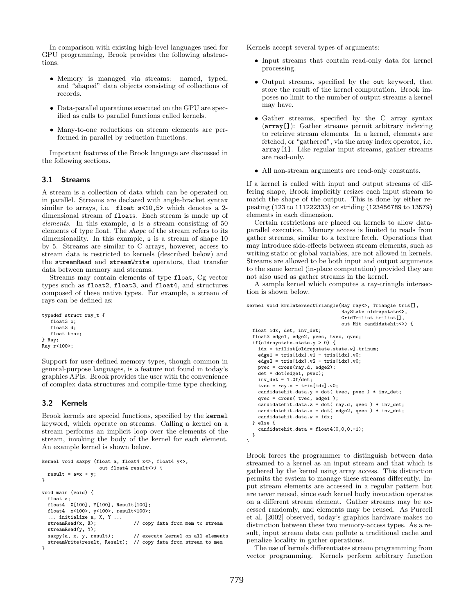In comparison with existing high-level languages used for GPU programming, Brook provides the following abstractions.

- Memory is managed via streams: named, typed, and "shaped" data objects consisting of collections of records.
- Data-parallel operations executed on the GPU are specified as calls to parallel functions called kernels.
- Many-to-one reductions on stream elements are performed in parallel by reduction functions.

Important features of the Brook language are discussed in the following sections.

#### 3.1 Streams

A stream is a collection of data which can be operated on in parallel. Streams are declared with angle-bracket syntax similar to arrays, i.e. float  $s$ <10,5> which denotes a 2dimensional stream of floats. Each stream is made up of elements. In this example, s is a stream consisting of 50 elements of type float. The shape of the stream refers to its dimensionality. In this example, **s** is a stream of shape 10 by 5. Streams are similar to C arrays, however, access to stream data is restricted to kernels (described below) and the streamRead and streamWrite operators, that transfer data between memory and streams.

Streams may contain elements of type float, Cg vector types such as float2, float3, and float4, and structures composed of these native types. For example, a stream of rays can be defined as:

```
typedef struct ray_t {
   float3 o;
   float3 d;
   float tmax;
} Ray;
Ray r<100>;
```
Support for user-defined memory types, though common in general-purpose languages, is a feature not found in today's graphics APIs. Brook provides the user with the convenience of complex data structures and compile-time type checking.

#### 3.2 Kernels

Brook kernels are special functions, specified by the kernel keyword, which operate on streams. Calling a kernel on a stream performs an implicit loop over the elements of the stream, invoking the body of the kernel for each element. An example kernel is shown below.

```
kernel void saxpy (float a, float4 x<>, float4 y<>,
                       out float4 result<>) {
  result = a*x + y;
}
void main (void) {
  float a;
  float4 X[100], Y[100], Result[100];
  float4 x<100>, y<100>, result<100>;
  ... initialize a, X, Y ...<br>streamRead(x, X);
                                    // copy data from mem to stream
  streamRead(y, Y);<br>saxyy(a, x, y, result);\frac{1}{2} execute kernel on all elements
  streamWrite(result, Result); // copy data from stream to mem
}
```
Kernels accept several types of arguments:

- Input streams that contain read-only data for kernel processing.
- Output streams, specified by the out keyword, that store the result of the kernel computation. Brook imposes no limit to the number of output streams a kernel may have.
- Gather streams, specified by the C array syntax (array[]): Gather streams permit arbitrary indexing to retrieve stream elements. In a kernel, elements are fetched, or "gathered", via the array index operator, i.e. array[i]. Like regular input streams, gather streams are read-only.
- All non-stream arguments are read-only constants.

If a kernel is called with input and output streams of differing shape, Brook implicitly resizes each input stream to match the shape of the output. This is done by either repeating (123 to 111222333) or striding (123456789 to 13579) elements in each dimension.

Certain restrictions are placed on kernels to allow dataparallel execution. Memory access is limited to reads from gather streams, similar to a texture fetch. Operations that may introduce side-effects between stream elements, such as writing static or global variables, are not allowed in kernels. Streams are allowed to be both input and output arguments to the same kernel (in-place computation) provided they are not also used as gather streams in the kernel.

A sample kernel which computes a ray-triangle intersection is shown below.

#### kernel void krnIntersectTriangle(Ray ray<>, Triangle tris[], RayState oldraystate<>, GridTrilist trilist[],

```
out Hit candidatehit<>) {
  float idx, det, inv_det;
  float3 edge1, edge2, pvec, tvec, qvec;
  if(oldraystate.state.y > 0) {
    idx = trilist[oldraystate.state.w].trinum;
    edge1 = tris[idx].v1 - tris[idx].v0;edge2 = tris[idx].v2 - tris[idx].v0;pvec = cross(ray.d, edge2);
    det = dot(edge1, pvec);
    inv\_det = 1.0f/det;tvec = ray.o - tris[idx].v0;candidatehit.data.y = dot( tvec, pvec ) * inv_det;
    qvec = cross( tvec, edge1 );
    candidatehit.data.z = dot( ray.d, qvec ) * inv_det;
    candidatehit.data.x = dot( edge2, qvec ) * inv_det;
    candidatehit.data.w = idx;
  } else {
    candidatehit.data = float4(0,0,0,-1);}
}
```
Brook forces the programmer to distinguish between data streamed to a kernel as an input stream and that which is gathered by the kernel using array access. This distinction permits the system to manage these streams differently. Input stream elements are accessed in a regular pattern but are never reused, since each kernel body invocation operates on a different stream element. Gather streams may be accessed randomly, and elements may be reused. As Purcell et al. [2002] observed, today's graphics hardware makes no distinction between these two memory-access types. As a result, input stream data can pollute a traditional cache and penalize locality in gather operations.

The use of kernels differentiates stream programming from vector programming. Kernels perform arbitrary function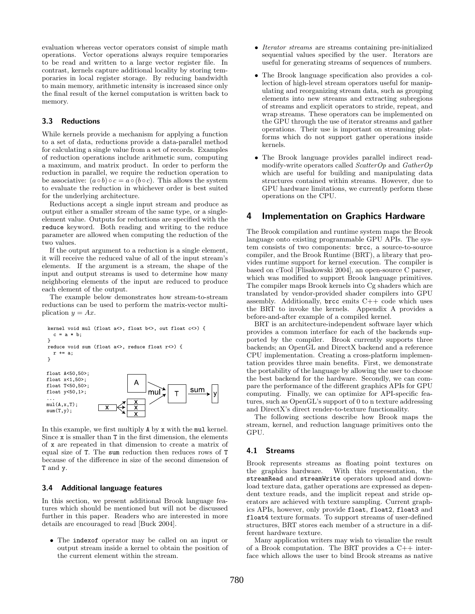evaluation whereas vector operators consist of simple math operations. Vector operations always require temporaries to be read and written to a large vector register file. In contrast, kernels capture additional locality by storing temporaries in local register storage. By reducing bandwidth to main memory, arithmetic intensity is increased since only the final result of the kernel computation is written back to memory.

#### 3.3 Reductions

While kernels provide a mechanism for applying a function to a set of data, reductions provide a data-parallel method for calculating a single value from a set of records. Examples of reduction operations include arithmetic sum, computing a maximum, and matrix product. In order to perform the reduction in parallel, we require the reduction operation to be associative:  $(a \circ b) \circ c = a \circ (b \circ c)$ . This allows the system to evaluate the reduction in whichever order is best suited for the underlying architecture.

Reductions accept a single input stream and produce as output either a smaller stream of the same type, or a singleelement value. Outputs for reductions are specified with the reduce keyword. Both reading and writing to the reduce parameter are allowed when computing the reduction of the two values.

If the output argument to a reduction is a single element, it will receive the reduced value of all of the input stream's elements. If the argument is a stream, the shape of the input and output streams is used to determine how many neighboring elements of the input are reduced to produce each element of the output.

The example below demonstrates how stream-to-stream reductions can be used to perform the matrix-vector multiplication  $y = Ax$ .



In this example, we first multiply A by x with the mul kernel. Since x is smaller than T in the first dimension, the elements of x are repeated in that dimension to create a matrix of equal size of T. The sum reduction then reduces rows of T because of the difference in size of the second dimension of T and y.

#### 3.4 Additional language features

In this section, we present additional Brook language features which should be mentioned but will not be discussed further in this paper. Readers who are interested in more details are encouraged to read [Buck 2004].

• The indexof operator may be called on an input or output stream inside a kernel to obtain the position of the current element within the stream.

- *Iterator streams* are streams containing pre-initialized sequential values specified by the user. Iterators are useful for generating streams of sequences of numbers.
- The Brook language specification also provides a collection of high-level stream operators useful for manipulating and reorganizing stream data, such as grouping elements into new streams and extracting subregions of streams and explicit operators to stride, repeat, and wrap streams. These operators can be implemented on the GPU through the use of iterator streams and gather operations. Their use is important on streaming platforms which do not support gather operations inside kernels.
- The Brook language provides parallel indirect readmodify-write operators called ScatterOp and GatherOp which are useful for building and manipulating data structures contained within streams. However, due to GPU hardware limitations, we currently perform these operations on the CPU.

### 4 Implementation on Graphics Hardware

The Brook compilation and runtime system maps the Brook language onto existing programmable GPU APIs. The system consists of two components: brcc, a source-to-source compiler, and the Brook Runtime (BRT), a library that provides runtime support for kernel execution. The compiler is based on cTool [Flisakowski 2004], an open-source C parser, which was modified to support Brook language primitives. The compiler maps Brook kernels into Cg shaders which are translated by vendor-provided shader compilers into GPU assembly. Additionally,  $b$ rcc emits  $C++$  code which uses the BRT to invoke the kernels. Appendix A provides a before-and-after example of a compiled kernel.

BRT is an architecture-independent software layer which provides a common interface for each of the backends supported by the compiler. Brook currently supports three backends; an OpenGL and DirectX backend and a reference CPU implementation. Creating a cross-platform implementation provides three main benefits. First, we demonstrate the portability of the language by allowing the user to choose the best backend for the hardware. Secondly, we can compare the performance of the different graphics APIs for GPU computing. Finally, we can optimize for API-specific features, such as OpenGL's support of 0 to n texture addressing and DirectX's direct render-to-texture functionality.

The following sections describe how Brook maps the stream, kernel, and reduction language primitives onto the GPU.

#### 4.1 Streams

Brook represents streams as floating point textures on the graphics hardware. With this representation, the streamRead and streamWrite operators upload and download texture data, gather operations are expressed as dependent texture reads, and the implicit repeat and stride operators are achieved with texture sampling. Current graphics APIs, however, only provide float, float2, float3 and float4 texture formats. To support streams of user-defined structures, BRT stores each member of a structure in a different hardware texture.

Many application writers may wish to visualize the result of a Brook computation. The BRT provides a C++ interface which allows the user to bind Brook streams as native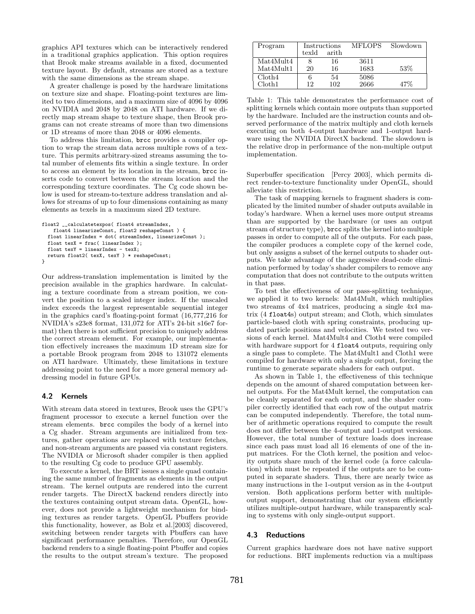graphics API textures which can be interactively rendered in a traditional graphics application. This option requires that Brook make streams available in a fixed, documented texture layout. By default, streams are stored as a texture with the same dimensions as the stream shape.

A greater challenge is posed by the hardware limitations on texture size and shape. Floating-point textures are limited to two dimensions, and a maximum size of 4096 by 4096 on NVIDIA and 2048 by 2048 on ATI hardware. If we directly map stream shape to texture shape, then Brook programs can not create streams of more than two dimensions or 1D streams of more than 2048 or 4096 elements.

To address this limitation, brcc provides a compiler option to wrap the stream data across multiple rows of a texture. This permits arbitrary-sized streams assuming the total number of elements fits within a single texture. In order to access an element by its location in the stream, brcc inserts code to convert between the stream location and the corresponding texture coordinates. The Cg code shown below is used for stream-to-texture address translation and allows for streams of up to four dimensions containing as many elements as texels in a maximum sized 2D texture.

```
float2 __calculatetexpos( float4 streamIndex,
    float4 linearizeConst, float2 reshapeConst ) {
  float linearIndex = dot( streamIndex, linearizeConst );
  float texX = frac( linearIndex );
  float texY = linearIndex - text{x};
  return float2( texX, texY ) * reshapeConst;
}
```
Our address-translation implementation is limited by the precision available in the graphics hardware. In calculating a texture coordinate from a stream position, we convert the position to a scaled integer index. If the unscaled index exceeds the largest representable sequential integer in the graphics card's floating-point format (16,777,216 for NVIDIA's s23e8 format, 131,072 for ATI's 24-bit s16e7 format) then there is not sufficient precision to uniquely address the correct stream element. For example, our implementation effectively increases the maximum 1D stream size for a portable Brook program from 2048 to 131072 elements on ATI hardware. Ultimately, these limitations in texture addressing point to the need for a more general memory addressing model in future GPUs.

### 4.2 Kernels

With stream data stored in textures, Brook uses the GPU's fragment processor to execute a kernel function over the stream elements. brcc compiles the body of a kernel into a Cg shader. Stream arguments are initialized from textures, gather operations are replaced with texture fetches, and non-stream arguments are passed via constant registers. The NVIDIA or Microsoft shader compiler is then applied to the resulting Cg code to produce GPU assembly.

To execute a kernel, the BRT issues a single quad containing the same number of fragments as elements in the output stream. The kernel outputs are rendered into the current render targets. The DirectX backend renders directly into the textures containing output stream data. OpenGL, however, does not provide a lightweight mechanism for binding textures as render targets. OpenGL Pbuffers provide this functionality, however, as Bolz et al.[2003] discovered, switching between render targets with Pbuffers can have significant performance penalties. Therefore, our OpenGL backend renders to a single floating-point Pbuffer and copies the results to the output stream's texture. The proposed

| Program           | Instructions |       | <b>MFLOPS</b> | Slowdown |
|-------------------|--------------|-------|---------------|----------|
|                   | texld        | arith |               |          |
| Mat4Mult4         |              | 16    | 3611          |          |
| Mat4Mult1         | 20           | 16    | 1683          | 53%      |
| $\mathrm{Cloth}4$ |              | 54    | 5086          |          |
| $\mathrm{Cloth}1$ | 12           | 102   | 2666          | 47\%     |

Table 1: This table demonstrates the performance cost of splitting kernels which contain more outputs than supported by the hardware. Included are the instruction counts and observed performance of the matrix multiply and cloth kernels executing on both 4-output hardware and 1-output hardware using the NVIDIA DirectX backend. The slowdown is the relative drop in performance of the non-multiple output implementation.

Superbuffer specification [Percy 2003], which permits direct render-to-texture functionality under OpenGL, should alleviate this restriction.

The task of mapping kernels to fragment shaders is complicated by the limited number of shader outputs available in today's hardware. When a kernel uses more output streams than are supported by the hardware (or uses an output stream of structure type), brcc splits the kernel into multiple passes in order to compute all of the outputs. For each pass, the compiler produces a complete copy of the kernel code, but only assigns a subset of the kernel outputs to shader outputs. We take advantage of the aggressive dead-code elimination performed by today's shader compilers to remove any computation that does not contribute to the outputs written in that pass.

To test the effectiveness of our pass-splitting technique, we applied it to two kernels: Mat4Mult, which multiplies two streams of 4x4 matrices, producing a single 4x4 matrix (4 float4s) output stream; and Cloth, which simulates particle-based cloth with spring constraints, producing updated particle positions and velocities. We tested two versions of each kernel. Mat4Mult4 and Cloth4 were compiled with hardware support for 4 float4 outputs, requiring only a single pass to complete. The Mat4Mult1 and Cloth1 were compiled for hardware with only a single output, forcing the runtime to generate separate shaders for each output.

As shown in Table 1, the effectiveness of this technique depends on the amount of shared computation between kernel outputs. For the Mat4Mult kernel, the computation can be cleanly separated for each output, and the shader compiler correctly identified that each row of the output matrix can be computed independently. Therefore, the total number of arithmetic operations required to compute the result does not differ between the 4-output and 1-output versions. However, the total number of texture loads does increase since each pass must load all 16 elements of one of the input matrices. For the Cloth kernel, the position and velocity outputs share much of the kernel code (a force calculation) which must be repeated if the outputs are to be computed in separate shaders. Thus, there are nearly twice as many instructions in the 1-output version as in the 4-output version. Both applications perform better with multipleoutput support, demonstrating that our system efficiently utilizes multiple-output hardware, while transparently scaling to systems with only single-output support.

#### 4.3 Reductions

Current graphics hardware does not have native support for reductions. BRT implements reduction via a multipass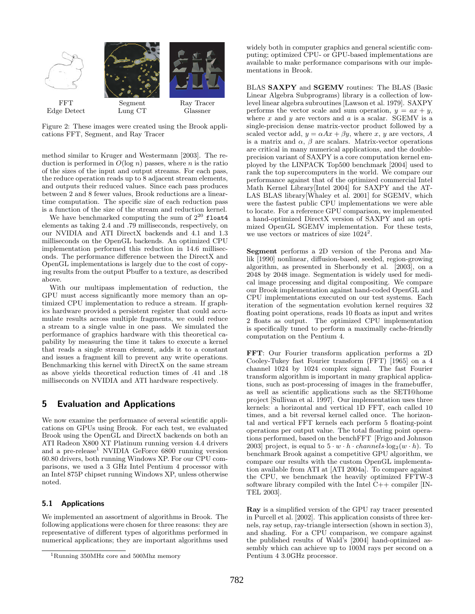

Figure 2: These images were created using the Brook applications FFT, Segment, and Ray Tracer

method similar to Kruger and Westermann [2003]. The reduction is performed in  $O(\log n)$  passes, where n is the ratio of the sizes of the input and output streams. For each pass, the reduce operation reads up to 8 adjacent stream elements, and outputs their reduced values. Since each pass produces between 2 and 8 fewer values, Brook reductions are a lineartime computation. The specific size of each reduction pass is a function of the size of the stream and reduction kernel.

We have benchmarked computing the sum of  $2^{20}$  float<sup>4</sup> elements as taking 2.4 and .79 milliseconds, respectively, on our NVIDIA and ATI DirectX backends and 4.1 and 1.3 milliseconds on the OpenGL backends. An optimized CPU implementation performed this reduction in 14.6 milliseconds. The performance difference between the DirectX and OpenGL implementations is largely due to the cost of copying results from the output Pbuffer to a texture, as described above.

With our multipass implementation of reduction, the GPU must access significantly more memory than an optimized CPU implementation to reduce a stream. If graphics hardware provided a persistent register that could accumulate results across multiple fragments, we could reduce a stream to a single value in one pass. We simulated the performance of graphics hardware with this theoretical capability by measuring the time it takes to execute a kernel that reads a single stream element, adds it to a constant and issues a fragment kill to prevent any write operations. Benchmarking this kernel with DirectX on the same stream as above yields theoretical reduction times of .41 and .18 milliseconds on NVIDIA and ATI hardware respectively.

# 5 Evaluation and Applications

We now examine the performance of several scientific applications on GPUs using Brook. For each test, we evaluated Brook using the OpenGL and DirectX backends on both an ATI Radeon X800 XT Platinum running version 4.4 drivers and a pre-release<sup>1</sup> NVIDIA GeForce  $6800$  running version 60.80 drivers, both running Windows XP. For our CPU comparisons, we used a 3 GHz Intel Pentium 4 processor with an Intel 875P chipset running Windows XP, unless otherwise noted.

### 5.1 Applications

We implemented an assortment of algorithms in Brook. The following applications were chosen for three reasons: they are representative of different types of algorithms performed in numerical applications; they are important algorithms used

widely both in computer graphics and general scientific computing; optimized CPU- or GPU-based implementations are available to make performance comparisons with our implementations in Brook.

BLAS SAXPY and SGEMV routines: The BLAS (Basic Linear Algebra Subprograms) library is a collection of lowlevel linear algebra subroutines [Lawson et al. 1979]. SAXPY performs the vector scale and sum operation,  $y = ax + y$ , where  $x$  and  $y$  are vectors and  $a$  is a scalar. SGEMV is a single-precision dense matrix-vector product followed by a scaled vector add,  $y = \alpha Ax + \beta y$ , where x, y are vectors, A is a matrix and  $\alpha$ ,  $\beta$  are scalars. Matrix-vector operations are critical in many numerical applications, and the doubleprecision variant of SAXPY is a core computation kernel employed by the LINPACK Top500 benchmark [2004] used to rank the top supercomputers in the world. We compare our performance against that of the optimized commercial Intel Math Kernel Library[Intel 2004] for SAXPY and the AT-LAS BLAS library[Whaley et al. 2001] for SGEMV, which were the fastest public CPU implementations we were able to locate. For a reference GPU comparison, we implemented a hand-optimized DirectX version of SAXPY and an optimized OpenGL SGEMV implementation. For these tests, we use vectors or matrices of size  $1024^2$ .

Segment performs a 2D version of the Perona and Malik [1990] nonlinear, diffusion-based, seeded, region-growing algorithm, as presented in Sherbondy et al. [2003], on a 2048 by 2048 image. Segmentation is widely used for medical image processing and digital compositing. We compare our Brook implementation against hand-coded OpenGL and CPU implementations executed on our test systems. Each iteration of the segmentation evolution kernel requires 32 floating point operations, reads 10 floats as input and writes 2 floats as output. The optimized CPU implementation is specifically tuned to perform a maximally cache-friendly computation on the Pentium 4.

FFT: Our Fourier transform application performs a 2D Cooley-Tukey fast Fourier transform (FFT) [1965] on a 4 channel 1024 by 1024 complex signal. The fast Fourier transform algorithm is important in many graphical applications, such as post-processing of images in the framebuffer, as well as scientific applications such as the SETI@home project [Sullivan et al. 1997]. Our implementation uses three kernels: a horizontal and vertical 1D FFT, each called 10 times, and a bit reversal kernel called once. The horizontal and vertical FFT kernels each perform 5 floating-point operations per output value. The total floating point operations performed, based on the benchFFT [Frigo and Johnson 2003] project, is equal to  $5 \cdot w \cdot h \cdot channels \cdot log_2(w \cdot h)$ . To benchmark Brook against a competitive GPU algorithm, we compare our results with the custom OpenGL implementation available from ATI at [ATI 2004a]. To compare against the CPU, we benchmark the heavily optimized FFTW-3 software library compiled with the Intel  $C++$  compiler [IN-TEL 2003].

Ray is a simplified version of the GPU ray tracer presented in Purcell et al. [2002]. This application consists of three kernels, ray setup, ray-triangle intersection (shown in section 3), and shading. For a CPU comparison, we compare against the published results of Wald's [2004] hand-optimized assembly which can achieve up to 100M rays per second on a Pentium 4 3.0GHz processor.

<sup>1</sup>Running 350MHz core and 500Mhz memory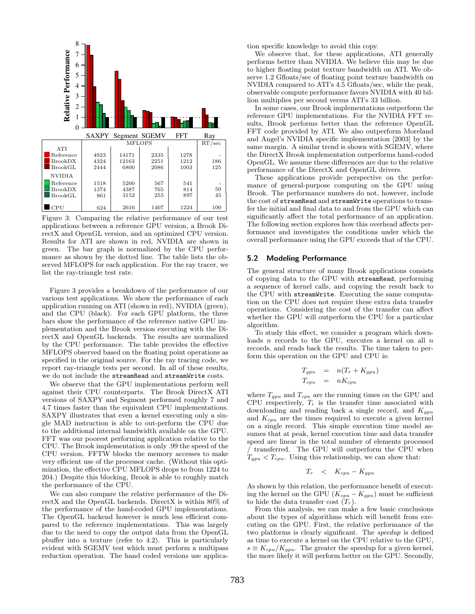

Figure 3: Comparing the relative performance of our test applications between a reference GPU version, a Brook DirectX and OpenGL version, and an optimized CPU version. Results for ATI are shown in red, NVIDIA are shown in green. The bar graph is normalized by the CPU performance as shown by the dotted line. The table lists the observed MFLOPS for each application. For the ray tracer, we list the ray-triangle test rate.

Figure 3 provides a breakdown of the performance of our various test applications. We show the performance of each application running on ATI (shown in red), NVIDIA (green), and the CPU (black). For each GPU platform, the three bars show the performance of the reference native GPU implementation and the Brook version executing with the DirectX and OpenGL backends. The results are normalized by the CPU performance. The table provides the effective MFLOPS observed based on the floating point operations as specified in the original source. For the ray tracing code, we report ray-triangle tests per second. In all of these results, we do not include the streamRead and streamWrite costs.

We observe that the GPU implementations perform well against their CPU counterparts. The Brook DirectX ATI versions of SAXPY and Segment performed roughly 7 and 4.7 times faster than the equivalent CPU implementations. SAXPY illustrates that even a kernel executing only a single MAD instruction is able to out-perform the CPU due to the additional internal bandwidth available on the GPU. FFT was our poorest performing application relative to the CPU. The Brook implementation is only .99 the speed of the CPU version. FFTW blocks the memory accesses to make very efficient use of the processor cache. (Without this optimization, the effective CPU MFLOPS drops to from 1224 to 204.) Despite this blocking, Brook is able to roughly match the performance of the CPU.

We can also compare the relative performance of the DirectX and the OpenGL backends. DirectX is within 80% of the performance of the hand-coded GPU implementations. The OpenGL backend however is much less efficient compared to the reference implementations. This was largely due to the need to copy the output data from the OpenGL pbuffer into a texture (refer to 4.2). This is particularly evident with SGEMV test which must perform a multipass reduction operation. The hand coded versions use application specific knowledge to avoid this copy.

We observe that, for these applications, ATI generally performs better than NVIDIA. We believe this may be due to higher floating point texture bandwidth on ATI. We observe 1.2 Gfloats/sec of floating point texture bandwidth on NVIDIA compared to ATI's 4.5 Gfloats/sec, while the peak, observable compute performance favors NVIDIA with 40 billion multiplies per second versus ATI's 33 billion.

In some cases, our Brook implementations outperform the reference GPU implementations. For the NVIDIA FFT results, Brook performs better than the reference OpenGL FFT code provided by ATI. We also outperform Moreland and Angel's NVIDIA specific implementation [2003] by the same margin. A similar trend is shown with SGEMV, where the DirectX Brook implementation outperforms hand-coded OpenGL. We assume these differences are due to the relative performance of the DirectX and OpenGL drivers.

These applications provide perspective on the performance of general-purpose computing on the GPU using Brook. The performance numbers do not, however, include the cost of streamRead and streamWrite operations to transfer the initial and final data to and from the GPU which can significantly affect the total performance of an application. The following section explores how this overhead affects performance and investigates the conditions under which the overall performance using the GPU exceeds that of the CPU.

#### 5.2 Modeling Performance

The general structure of many Brook applications consists of copying data to the GPU with streamRead, performing a sequence of kernel calls, and copying the result back to the CPU with streamWrite. Executing the same computation on the CPU does not require these extra data transfer operations. Considering the cost of the transfer can affect whether the GPU will outperform the CPU for a particular algorithm.

To study this effect, we consider a program which downloads  $n$  records to the GPU, executes a kernel on all  $n$ records, and reads back the results. The time taken to perform this operation on the GPU and CPU is:

$$
T_{gpu} = n(T_r + K_{gpu})
$$
  
\n
$$
T_{cpu} = nK_{cpu}
$$

where  $T_{gpu}$  and  $T_{cpu}$  are the running times on the GPU and CPU respectively,  $T_r$  is the transfer time associated with downloading and reading back a single record, and  $K_{qpu}$ and  $K_{cpu}$  are the times required to execute a given kernel on a single record. This simple execution time model assumes that at peak, kernel execution time and data transfer speed are linear in the total number of elements processed / transferred. The GPU will outperform the CPU when  $T_{gpu} < T_{cpu}$ . Using this relationship, we can show that:

$$
T_r \quad < \quad K_{cpu} - K_{gpu}
$$

As shown by this relation, the performance benefit of executing the kernel on the GPU ( $K_{cpu} - K_{gpu}$ ) must be sufficient to hide the data transfer cost  $(T_r)$ .

From this analysis, we can make a few basic conclusions about the types of algorithms which will benefit from executing on the GPU. First, the relative performance of the two platforms is clearly significant. The speedup is defined as time to execute a kernel on the CPU relative to the GPU,  $s \equiv K_{cpu}/K_{qpu}$ . The greater the speedup for a given kernel, the more likely it will perform better on the GPU. Secondly,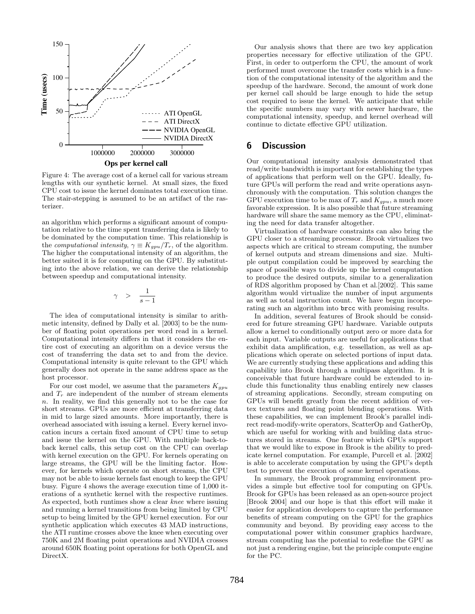

Figure 4: The average cost of a kernel call for various stream lengths with our synthetic kernel. At small sizes, the fixed CPU cost to issue the kernel dominates total execution time. The stair-stepping is assumed to be an artifact of the rasterizer.

an algorithm which performs a significant amount of computation relative to the time spent transferring data is likely to be dominated by the computation time. This relationship is the *computational intensity*,  $\gamma \equiv K_{gpu}/T_r$ , of the algorithm. The higher the computational intensity of an algorithm, the better suited it is for computing on the GPU. By substituting into the above relation, we can derive the relationship between speedup and computational intensity.

$$
\gamma \quad > \quad \frac{1}{s-1}
$$

The idea of computational intensity is similar to arithmetic intensity, defined by Dally et al. [2003] to be the number of floating point operations per word read in a kernel. Computational intensity differs in that it considers the entire cost of executing an algorithm on a device versus the cost of transferring the data set to and from the device. Computational intensity is quite relevant to the GPU which generally does not operate in the same address space as the host processor.

For our cost model, we assume that the parameters  $K_{gpu}$ and  $T_r$  are independent of the number of stream elements n. In reality, we find this generally not to be the case for short streams. GPUs are more efficient at transferring data in mid to large sized amounts. More importantly, there is overhead associated with issuing a kernel. Every kernel invocation incurs a certain fixed amount of CPU time to setup and issue the kernel on the GPU. With multiple back-toback kernel calls, this setup cost on the CPU can overlap with kernel execution on the GPU. For kernels operating on large streams, the GPU will be the limiting factor. However, for kernels which operate on short streams, the CPU may not be able to issue kernels fast enough to keep the GPU busy. Figure 4 shows the average execution time of 1,000 iterations of a synthetic kernel with the respective runtimes. As expected, both runtimes show a clear knee where issuing and running a kernel transitions from being limited by CPU setup to being limited by the GPU kernel execution. For our synthetic application which executes 43 MAD instructions, the ATI runtime crosses above the knee when executing over 750K and 2M floating point operations and NVIDIA crosses around 650K floating point operations for both OpenGL and DirectX.

Our analysis shows that there are two key application properties necessary for effective utilization of the GPU. First, in order to outperform the CPU, the amount of work performed must overcome the transfer costs which is a function of the computational intensity of the algorithm and the speedup of the hardware. Second, the amount of work done per kernel call should be large enough to hide the setup cost required to issue the kernel. We anticipate that while the specific numbers may vary with newer hardware, the computational intensity, speedup, and kernel overhead will continue to dictate effective GPU utilization.

### 6 Discussion

Our computational intensity analysis demonstrated that read/write bandwidth is important for establishing the types of applications that perform well on the GPU. Ideally, future GPUs will perform the read and write operations asynchronously with the computation. This solution changes the GPU execution time to be max of  $T_r$  and  $K_{gpu}$ , a much more favorable expression. It is also possible that future streaming hardware will share the same memory as the CPU, eliminating the need for data transfer altogether.

Virtualization of hardware constraints can also bring the GPU closer to a streaming processor. Brook virtualizes two aspects which are critical to stream computing, the number of kernel outputs and stream dimensions and size. Multiple output compilation could be improved by searching the space of possible ways to divide up the kernel computation to produce the desired outputs, similar to a generalization of RDS algorithm proposed by Chan et al.[2002]. This same algorithm would virtualize the number of input arguments as well as total instruction count. We have begun incorporating such an algorithm into brcc with promising results.

In addition, several features of Brook should be considered for future streaming GPU hardware. Variable outputs allow a kernel to conditionally output zero or more data for each input. Variable outputs are useful for applications that exhibit data amplification, e.g. tessellation, as well as applications which operate on selected portions of input data. We are currently studying these applications and adding this capability into Brook through a multipass algorithm. It is conceivable that future hardware could be extended to include this functionality thus enabling entirely new classes of streaming applications. Secondly, stream computing on GPUs will benefit greatly from the recent addition of vertex textures and floating point blending operations. With these capabilities, we can implement Brook's parallel indirect read-modify-write operators, ScatterOp and GatherOp, which are useful for working with and building data structures stored in streams. One feature which GPUs support that we would like to expose in Brook is the ability to predicate kernel computation. For example, Purcell et al. [2002] is able to accelerate computation by using the GPU's depth test to prevent the execution of some kernel operations.

In summary, the Brook programming environment provides a simple but effective tool for computing on GPUs. Brook for GPUs has been released as an open-source project [Brook 2004] and our hope is that this effort will make it easier for application developers to capture the performance benefits of stream computing on the GPU for the graphics community and beyond. By providing easy access to the computational power within consumer graphics hardware, stream computing has the potential to redefine the GPU as not just a rendering engine, but the principle compute engine for the PC.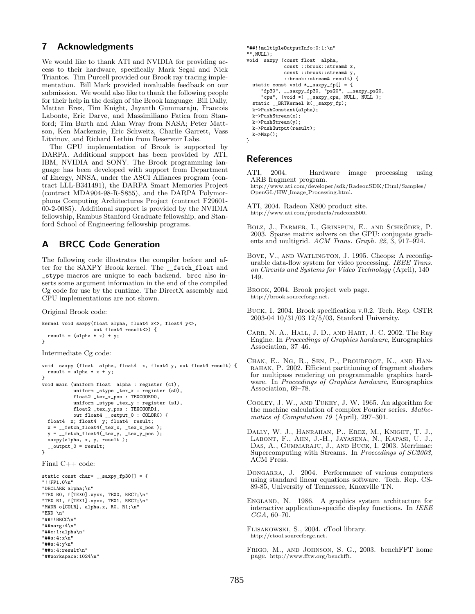# 7 Acknowledgments

We would like to thank ATI and NVIDIA for providing access to their hardware, specifically Mark Segal and Nick Triantos. Tim Purcell provided our Brook ray tracing implementation. Bill Mark provided invaluable feedback on our submission. We would also like to thank the following people for their help in the design of the Brook language: Bill Dally, Mattan Erez, Tim Knight, Jayanth Gummaraju, Francois Labonte, Eric Darve, and Massimiliano Fatica from Stanford; Tim Barth and Alan Wray from NASA; Peter Mattson, Ken Mackenzie, Eric Schweitz, Charlie Garrett, Vass Litvinov, and Richard Lethin from Reservoir Labs.

The GPU implementation of Brook is supported by DARPA. Additional support has been provided by ATI, IBM, NVIDIA and SONY. The Brook programming language has been developed with support from Department of Energy, NNSA, under the ASCI Alliances program (contract LLL-B341491), the DARPA Smart Memories Project (contract MDA904-98-R-S855), and the DARPA Polymorphous Computing Architectures Project (contract F29601- 00-2-0085). Additional support is provided by the NVIDIA fellowship, Rambus Stanford Graduate fellowship, and Stanford School of Engineering fellowship programs.

# A BRCC Code Generation

The following code illustrates the compiler before and after for the SAXPY Brook kernel. The \_\_fetch\_float and \_stype macros are unique to each backend. brcc also inserts some argument information in the end of the compiled Cg code for use by the runtime. The DirectX assembly and CPU implementations are not shown.

Original Brook code:

```
kernel void saxpy(float alpha, float4 x<>, float4 y<>,
                 out float4 result<>) {
 result = (alpha * x) + y;}
```

```
Intermediate Cg code:
```

```
void saxpy (float alpha, float4 x, float4 y, out float4 result) {
  result = alpha * x + y;}
void main (uniform float alpha : register (c1),
              uniform _stype _tex_x : register (s0),
               float2 _tex_x_pos : TEXCOORD0,
              uniform _stype _tex_y : register (s1),
              float2 _tex_y_pos : TEXCOORD1,
              out float4 __output_0 : COLOR0) {
   float4 x; float4 y; float4 result;
x = __fetch_float4(_tex_x, _tex_x_pos );
  y = \frac{1}{2} \frac{1}{2} \frac{1}{2} \frac{1}{2} \frac{1}{2} \frac{1}{2} \frac{1}{2} \frac{1}{2} \frac{1}{2} \frac{1}{2} \frac{1}{2} \frac{1}{2} \frac{1}{2} \frac{1}{2} \frac{1}{2} \frac{1}{2} \frac{1}{2} \frac{1}{2} \frac{1}{2} \frac{1}{2} \frac{1}{2} \frac{1}{saxpy(alpha, x, y, result );
   __output_0 = result;
}
Final C++ code:
static const char* __saxpy_fp30[] = {
"!!FP1.0\n"
"DECLARE alpha;\n"
"TEX R0, f[TEX0].xyxx, TEX0, RECT;\n"
"TEX R1, f[TEX1].xyxx, TEX1, RECT;\n"
"MADR o[COLR], alpha.x, R0, R1;\n"
"END \n"
"##!!BRCC\n"
"##narg:4\n"
"##c:1:alpha\n"
"##s:4:x\n"
"##s:4:y\n"
"##o:4:result\n"
"##workspace:1024\n"
```

```
"##!!multipleOutputInfo:0:1:\n"
"",NULL};
void saxpy (const float alpha,
                   const ::brook::stream& x,
                   const ::brook::stream& y,
                   ::brook::stream& result) {
   {\tt static\ const\ void}\ *_{-\tt Saxyy\_fp[]} = \{\begin{array}{cc} \texttt{``fp30",}\ \texttt{\_saxyy\_fp30,}\ \texttt{``ps20",}\ \texttt{\_saxyy\_ps20,}\end{array}"fp30", __saxpy_fp30, "ps20", __saxpy_ps20,
"cpu", (void *) __saxpy_cpu, NULL, NULL };
   static __BRTKernel k(__saxpy_fp);
  k->PushConstant(alpha);
  k->PushStream(x);
  k->PushStream(y);
  k->PushOutput(result);
  k->Map():
}
```
# References

- ATI, 2004. Hardware image processing using ARB fragment program.
- http://www.ati.com/developer/sdk/RadeonSDK/Html/Samples/ OpenGL/HW Image Processing.html.
- ATI, 2004. Radeon X800 product site. http://www.ati.com/products/radeonx800.
- BOLZ, J., FARMER, I., GRINSPUN, E., AND SCHRÖDER, P. 2003. Sparse matrix solvers on the GPU: conjugate gradients and multigrid.  $ACM$  Trans.  $Graph. 22, 3, 917-924.$
- Bove, V., and Watlington, J. 1995. Cheops: A reconfigurable data-flow system for video processing. IEEE Trans. on Circuits and Systems for Video Technology (April), 140– 149.
- Brook, 2004. Brook project web page. http://brook.sourceforge.net.
- Buck, I. 2004. Brook specification v.0.2. Tech. Rep. CSTR 2003-04 10/31/03 12/5/03, Stanford University.
- Carr, N. A., Hall, J. D., and Hart, J. C. 2002. The Ray Engine. In Proceedings of Graphics hardware, Eurographics Association, 37–46.
- Chan, E., Ng, R., Sen, P., Proudfoot, K., and Han-RAHAN, P. 2002. Efficient partitioning of fragment shaders for multipass rendering on programmable graphics hardware. In *Proceedings of Graphics hardware*, Eurographics Association, 69–78.
- Cooley, J. W., and Tukey, J. W. 1965. An algorithm for the machine calculation of complex Fourier series. Mathematics of Computation 19 (April), 297–301.
- Dally, W. J., Hanrahan, P., Erez, M., Knight, T. J., Labont, F., Ahn, J.-H., Jayasena, N., Kapasi, U. J., Das, A., Gummaraju, J., and Buck, I. 2003. Merrimac: Supercomputing with Streams. In Proceedings of SC2003, ACM Press.
- DONGARRA, J. 2004. Performance of various computers using standard linear equations software. Tech. Rep. CS-89-85, University of Tennessee, Knoxville TN.
- England, N. 1986. A graphics system architecture for interactive application-specific display functions. In IEEE  $CGA, 60–70.$

Flisakowski, S., 2004. cTool library. http://ctool.sourceforge.net.

Frigo, M., and Johnson, S. G., 2003. benchFFT home page. http://www.fftw.org/benchfft.